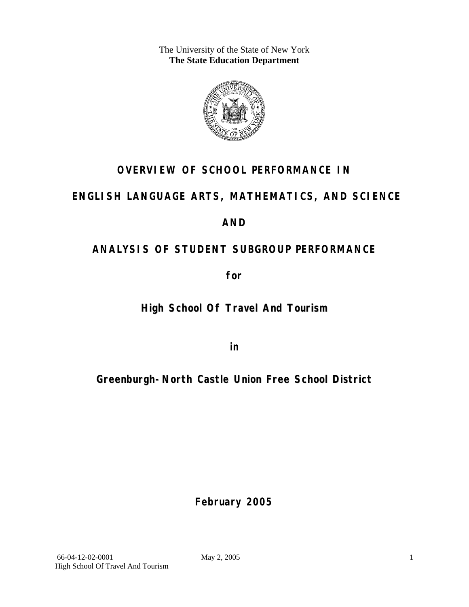The University of the State of New York **The State Education Department** 



# **OVERVIEW OF SCHOOL PERFORMANCE IN**

# **ENGLISH LANGUAGE ARTS, MATHEMATICS, AND SCIENCE**

# **AND**

# **ANALYSIS OF STUDENT SUBGROUP PERFORMANCE**

**for** 

# **High School Of Travel And Tourism**

**in** 

# **Greenburgh-North Castle Union Free School District**

**February 2005**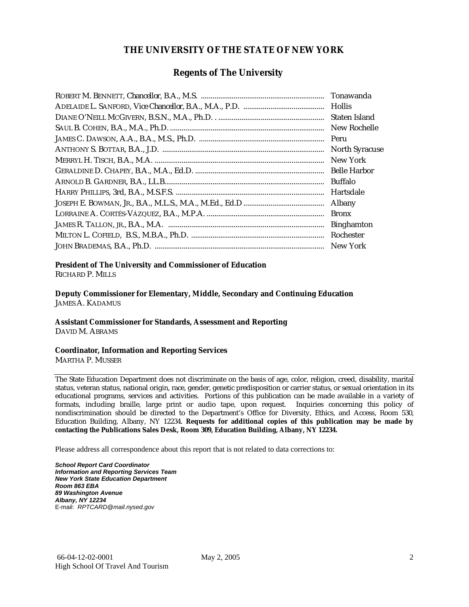#### **THE UNIVERSITY OF THE STATE OF NEW YORK**

#### **Regents of The University**

| Tonawanda             |
|-----------------------|
|                       |
| Staten Island         |
| New Rochelle          |
| Peru                  |
| <b>North Syracuse</b> |
| New York              |
| <b>Belle Harbor</b>   |
| <b>Buffalo</b>        |
| Hartsdale             |
| Albany                |
| <b>Bronx</b>          |
| <b>Binghamton</b>     |
| Rochester             |
|                       |

### **President of The University and Commissioner of Education**

RICHARD P. MILLS

**Deputy Commissioner for Elementary, Middle, Secondary and Continuing Education**  JAMES A. KADAMUS

#### **Assistant Commissioner for Standards, Assessment and Reporting**  DAVID M. ABRAMS

**Coordinator, Information and Reporting Services** 

MARTHA P. MUSSER

The State Education Department does not discriminate on the basis of age, color, religion, creed, disability, marital status, veteran status, national origin, race, gender, genetic predisposition or carrier status, or sexual orientation in its educational programs, services and activities. Portions of this publication can be made available in a variety of formats, including braille, large print or audio tape, upon request. Inquiries concerning this policy of nondiscrimination should be directed to the Department's Office for Diversity, Ethics, and Access, Room 530, Education Building, Albany, NY 12234. **Requests for additional copies of this publication may be made by contacting the Publications Sales Desk, Room 309, Education Building, Albany, NY 12234.** 

Please address all correspondence about this report that is not related to data corrections to:

*School Report Card Coordinator Information and Reporting Services Team New York State Education Department Room 863 EBA 89 Washington Avenue Albany, NY 12234*  E-mail: *RPTCARD@mail.nysed.gov*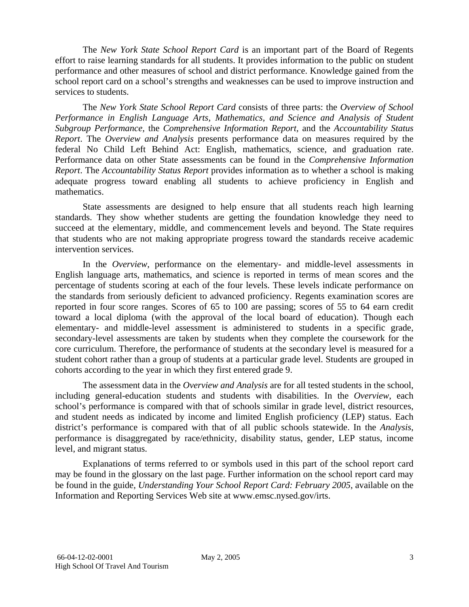The *New York State School Report Card* is an important part of the Board of Regents effort to raise learning standards for all students. It provides information to the public on student performance and other measures of school and district performance. Knowledge gained from the school report card on a school's strengths and weaknesses can be used to improve instruction and services to students.

The *New York State School Report Card* consists of three parts: the *Overview of School Performance in English Language Arts, Mathematics, and Science and Analysis of Student Subgroup Performance,* the *Comprehensive Information Report,* and the *Accountability Status Report*. The *Overview and Analysis* presents performance data on measures required by the federal No Child Left Behind Act: English, mathematics, science, and graduation rate. Performance data on other State assessments can be found in the *Comprehensive Information Report*. The *Accountability Status Report* provides information as to whether a school is making adequate progress toward enabling all students to achieve proficiency in English and mathematics.

State assessments are designed to help ensure that all students reach high learning standards. They show whether students are getting the foundation knowledge they need to succeed at the elementary, middle, and commencement levels and beyond. The State requires that students who are not making appropriate progress toward the standards receive academic intervention services.

In the *Overview*, performance on the elementary- and middle-level assessments in English language arts, mathematics, and science is reported in terms of mean scores and the percentage of students scoring at each of the four levels. These levels indicate performance on the standards from seriously deficient to advanced proficiency. Regents examination scores are reported in four score ranges. Scores of 65 to 100 are passing; scores of 55 to 64 earn credit toward a local diploma (with the approval of the local board of education). Though each elementary- and middle-level assessment is administered to students in a specific grade, secondary-level assessments are taken by students when they complete the coursework for the core curriculum. Therefore, the performance of students at the secondary level is measured for a student cohort rather than a group of students at a particular grade level. Students are grouped in cohorts according to the year in which they first entered grade 9.

The assessment data in the *Overview and Analysis* are for all tested students in the school, including general-education students and students with disabilities. In the *Overview*, each school's performance is compared with that of schools similar in grade level, district resources, and student needs as indicated by income and limited English proficiency (LEP) status. Each district's performance is compared with that of all public schools statewide. In the *Analysis*, performance is disaggregated by race/ethnicity, disability status, gender, LEP status, income level, and migrant status.

Explanations of terms referred to or symbols used in this part of the school report card may be found in the glossary on the last page. Further information on the school report card may be found in the guide, *Understanding Your School Report Card: February 2005*, available on the Information and Reporting Services Web site at www.emsc.nysed.gov/irts.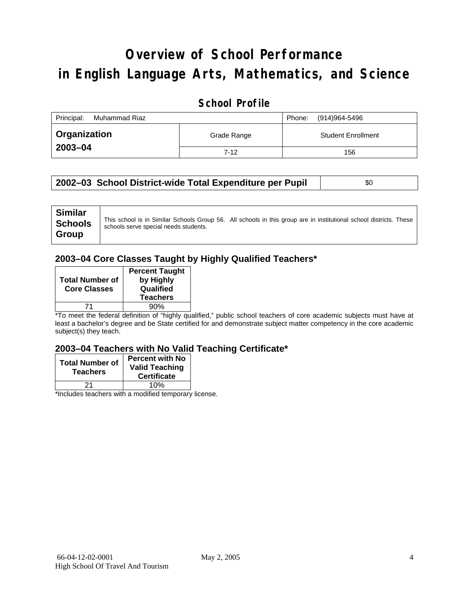# **Overview of School Performance in English Language Arts, Mathematics, and Science**

### **School Profile**

| Principal:<br>Muhammad Riaz |             | (914)964-5496<br>Phone:   |
|-----------------------------|-------------|---------------------------|
| <b>Organization</b>         | Grade Range | <b>Student Enrollment</b> |
| 2003-04                     | $7 - 12$    | 156                       |

#### **2002-03 School District-wide Total Expenditure per Pupil | \$0 \$0**

| <b>Similar</b><br><b>Schools</b><br>Group | schools serve special needs students. | This school is in Similar Schools Group 56. All schools in this group are in institutional school districts. These |
|-------------------------------------------|---------------------------------------|--------------------------------------------------------------------------------------------------------------------|
|-------------------------------------------|---------------------------------------|--------------------------------------------------------------------------------------------------------------------|

#### **2003–04 Core Classes Taught by Highly Qualified Teachers\***

| <b>Total Number of</b><br><b>Core Classes</b> | <b>Percent Taught</b><br>by Highly<br>Qualified<br><b>Teachers</b> |
|-----------------------------------------------|--------------------------------------------------------------------|
|                                               | 90%                                                                |

\*To meet the federal definition of "highly qualified," public school teachers of core academic subjects must have at least a bachelor's degree and be State certified for and demonstrate subject matter competency in the core academic subject(s) they teach.

#### **2003–04 Teachers with No Valid Teaching Certificate\***

| <b>Total Number of</b><br><b>Teachers</b> | <b>Percent with No</b><br><b>Valid Teaching</b><br><b>Certificate</b> |
|-------------------------------------------|-----------------------------------------------------------------------|
| 21                                        | 10%                                                                   |
| $\mathbf{A}$<br>$\cdots$                  | . .                                                                   |

\*Includes teachers with a modified temporary license.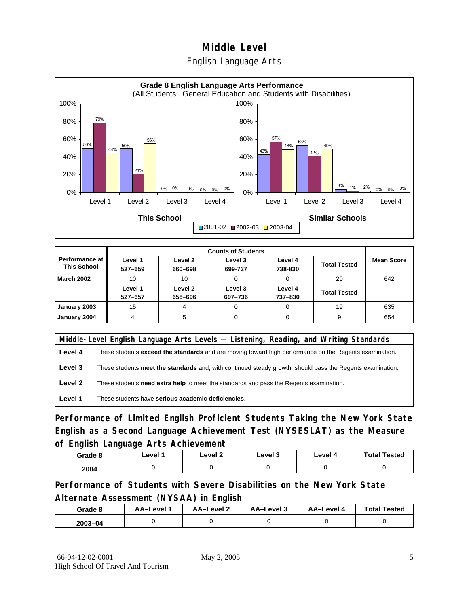English Language Arts



|                                      | <b>Counts of Students</b> |                    |                    |                    |                     |                   |  |
|--------------------------------------|---------------------------|--------------------|--------------------|--------------------|---------------------|-------------------|--|
| Performance at<br><b>This School</b> | Level 1<br>527-659        | Level 2<br>660-698 | Level 3<br>699-737 | Level 4<br>738-830 | <b>Total Tested</b> | <b>Mean Score</b> |  |
| <b>March 2002</b>                    | 10                        | 10                 |                    | 0                  | 20                  | 642               |  |
|                                      | Level 1<br>527-657        | Level 2<br>658-696 | Level 3<br>697-736 | Level 4<br>737-830 | <b>Total Tested</b> |                   |  |
| January 2003                         | 15                        | 4                  |                    | 0                  | 19                  | 635               |  |
| January 2004                         |                           | 5                  |                    | 0                  | 9                   | 654               |  |

|         | Middle-Level English Language Arts Levels — Listening, Reading, and Writing Standards                         |  |  |  |  |
|---------|---------------------------------------------------------------------------------------------------------------|--|--|--|--|
| Level 4 | These students <b>exceed the standards</b> and are moving toward high performance on the Regents examination. |  |  |  |  |
| Level 3 | These students meet the standards and, with continued steady growth, should pass the Regents examination.     |  |  |  |  |
| Level 2 | These students need extra help to meet the standards and pass the Regents examination.                        |  |  |  |  |
| Level 1 | These students have serious academic deficiencies.                                                            |  |  |  |  |

**Performance of Limited English Proficient Students Taking the New York State English as a Second Language Achievement Test (NYSESLAT) as the Measure of English Language Arts Achievement**

| Grade 8 | Level 1 | Level 2 | Level 3 | Level 4 | <b>Total Tested</b> |
|---------|---------|---------|---------|---------|---------------------|
| 2004    |         |         |         |         |                     |

**Performance of Students with Severe Disabilities on the New York State Alternate Assessment (NYSAA) in English** 

| Grade 8 | AA-Level | <b>AA-Level 2</b> | AA-Level 3 | <b>AA-Level 4</b> | <b>Total Tested</b> |
|---------|----------|-------------------|------------|-------------------|---------------------|
| 2003-04 |          |                   |            |                   |                     |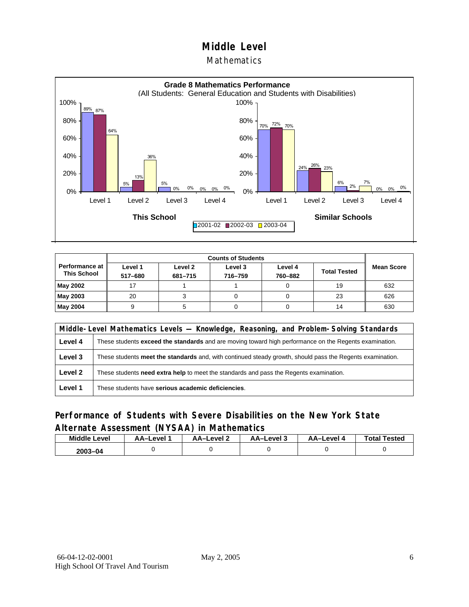**Mathematics** 



| <b>Counts of Students</b>                   |                    |                    |                    |                    |                     |                   |
|---------------------------------------------|--------------------|--------------------|--------------------|--------------------|---------------------|-------------------|
| <b>Performance at</b><br><b>This School</b> | Level 1<br>517-680 | Level 2<br>681-715 | Level 3<br>716-759 | Level 4<br>760-882 | <b>Total Tested</b> | <b>Mean Score</b> |
| May 2002                                    | 17                 |                    |                    |                    | 19                  | 632               |
| May 2003                                    | 20                 |                    |                    |                    | 23                  | 626               |
| May 2004                                    | 9                  |                    |                    |                    | 14                  | 630               |

|         | Middle-Level Mathematics Levels — Knowledge, Reasoning, and Problem-Solving Standards                     |  |  |  |  |
|---------|-----------------------------------------------------------------------------------------------------------|--|--|--|--|
| Level 4 | These students exceed the standards and are moving toward high performance on the Regents examination.    |  |  |  |  |
| Level 3 | These students meet the standards and, with continued steady growth, should pass the Regents examination. |  |  |  |  |
| Level 2 | These students <b>need extra help</b> to meet the standards and pass the Regents examination.             |  |  |  |  |
| Level 1 | These students have serious academic deficiencies.                                                        |  |  |  |  |

### **Performance of Students with Severe Disabilities on the New York State Alternate Assessment (NYSAA) in Mathematics**

| <b>Middle</b><br>Level | AA-Level | <b>AA-Level 2</b> | AA-Level 3 | <b>AA-Level 4</b> | <b>Total Tested</b> |
|------------------------|----------|-------------------|------------|-------------------|---------------------|
| $2003 - 04$            |          |                   |            |                   |                     |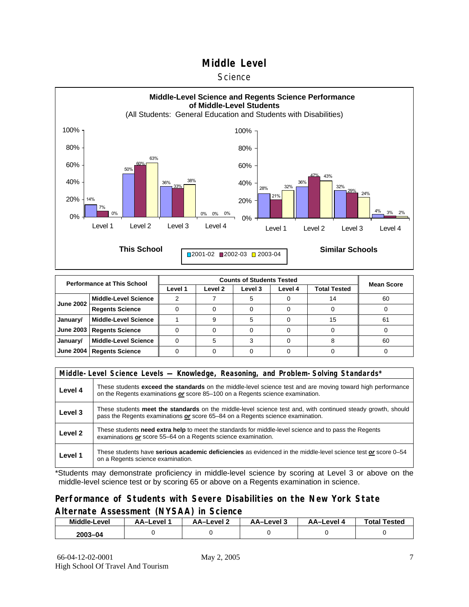#### **Science**



|                  | <b>Performance at This School</b> |         | <b>Counts of Students Tested</b> |         |         |                     |                   |  |  |  |
|------------------|-----------------------------------|---------|----------------------------------|---------|---------|---------------------|-------------------|--|--|--|
|                  |                                   | Level 1 | Level 2                          | Level 3 | Level 4 | <b>Total Tested</b> | <b>Mean Score</b> |  |  |  |
| <b>June 2002</b> | <b>Middle-Level Science</b>       |         |                                  |         |         |                     | 60                |  |  |  |
|                  | <b>Regents Science</b>            |         |                                  |         |         |                     |                   |  |  |  |
| January/         | <b>Middle-Level Science</b>       |         |                                  |         |         | 15                  | 61                |  |  |  |
| <b>June 2003</b> | <b>Regents Science</b>            |         |                                  |         |         |                     |                   |  |  |  |
| January/         | <b>Middle-Level Science</b>       |         |                                  |         |         |                     | 60                |  |  |  |
| <b>June 2004</b> | <b>Regents Science</b>            |         |                                  |         |         |                     |                   |  |  |  |

|                    | Middle-Level Science Levels — Knowledge, Reasoning, and Problem-Solving Standards*                                                                                                             |  |  |  |  |  |  |  |
|--------------------|------------------------------------------------------------------------------------------------------------------------------------------------------------------------------------------------|--|--|--|--|--|--|--|
| Level 4            | These students exceed the standards on the middle-level science test and are moving toward high performance<br>on the Regents examinations or score 85-100 on a Regents science examination.   |  |  |  |  |  |  |  |
| Level 3            | These students meet the standards on the middle-level science test and, with continued steady growth, should<br>pass the Regents examinations or score 65–84 on a Regents science examination. |  |  |  |  |  |  |  |
| Level <sub>2</sub> | These students need extra help to meet the standards for middle-level science and to pass the Regents<br>examinations or score 55–64 on a Regents science examination.                         |  |  |  |  |  |  |  |
| Level 1            | These students have serious academic deficiencies as evidenced in the middle-level science test or score 0–54<br>on a Regents science examination.                                             |  |  |  |  |  |  |  |

\*Students may demonstrate proficiency in middle-level science by scoring at Level 3 or above on the middle-level science test or by scoring 65 or above on a Regents examination in science.

#### **Performance of Students with Severe Disabilities on the New York State Alternate Assessment (NYSAA) in Science**

| Middle-Level | AA-Level | AA-Level 2 | AA-Level 3 | AA–Level 4 | <b>Total Tested</b> |
|--------------|----------|------------|------------|------------|---------------------|
| 2003-04      |          |            |            |            |                     |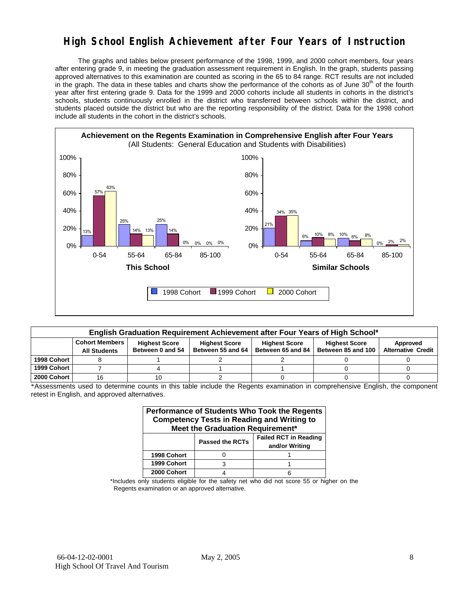### **High School English Achievement after Four Years of Instruction**

 The graphs and tables below present performance of the 1998, 1999, and 2000 cohort members, four years after entering grade 9, in meeting the graduation assessment requirement in English. In the graph, students passing approved alternatives to this examination are counted as scoring in the 65 to 84 range. RCT results are not included in the graph. The data in these tables and charts show the performance of the cohorts as of June 30<sup>th</sup> of the fourth year after first entering grade 9. Data for the 1999 and 2000 cohorts include all students in cohorts in the district's schools, students continuously enrolled in the district who transferred between schools within the district, and students placed outside the district but who are the reporting responsibility of the district. Data for the 1998 cohort include all students in the cohort in the district's schools.



|             | English Graduation Requirement Achievement after Four Years of High School* |                                          |                                           |                                           |                                            |                                       |  |  |  |  |  |
|-------------|-----------------------------------------------------------------------------|------------------------------------------|-------------------------------------------|-------------------------------------------|--------------------------------------------|---------------------------------------|--|--|--|--|--|
|             | <b>Cohort Members</b><br><b>All Students</b>                                | <b>Highest Score</b><br>Between 0 and 54 | <b>Highest Score</b><br>Between 55 and 64 | <b>Highest Score</b><br>Between 65 and 84 | <b>Highest Score</b><br>Between 85 and 100 | Approved<br><b>Alternative Credit</b> |  |  |  |  |  |
| 1998 Cohort |                                                                             |                                          |                                           |                                           |                                            |                                       |  |  |  |  |  |
| 1999 Cohort |                                                                             |                                          |                                           |                                           |                                            |                                       |  |  |  |  |  |
| 2000 Cohort | 16                                                                          |                                          |                                           |                                           |                                            |                                       |  |  |  |  |  |

\*Assessments used to determine counts in this table include the Regents examination in comprehensive English, the component retest in English, and approved alternatives.

| <b>Performance of Students Who Took the Regents</b><br><b>Competency Tests in Reading and Writing to</b><br>Meet the Graduation Requirement* |                                                                          |  |  |  |  |  |  |  |  |
|----------------------------------------------------------------------------------------------------------------------------------------------|--------------------------------------------------------------------------|--|--|--|--|--|--|--|--|
|                                                                                                                                              | <b>Failed RCT in Reading</b><br><b>Passed the RCTs</b><br>and/or Writing |  |  |  |  |  |  |  |  |
| 1998 Cohort                                                                                                                                  |                                                                          |  |  |  |  |  |  |  |  |
| 1999 Cohort                                                                                                                                  |                                                                          |  |  |  |  |  |  |  |  |
| 2000 Cohort                                                                                                                                  |                                                                          |  |  |  |  |  |  |  |  |

\*Includes only students eligible for the safety net who did not score 55 or higher on the Regents examination or an approved alternative.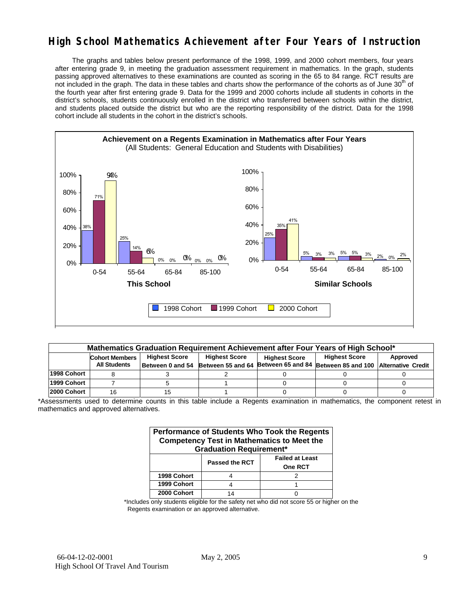### **High School Mathematics Achievement after Four Years of Instruction**

 The graphs and tables below present performance of the 1998, 1999, and 2000 cohort members, four years after entering grade 9, in meeting the graduation assessment requirement in mathematics. In the graph, students passing approved alternatives to these examinations are counted as scoring in the 65 to 84 range. RCT results are not included in the graph. The data in these tables and charts show the performance of the cohorts as of June 30<sup>th</sup> of the fourth year after first entering grade 9. Data for the 1999 and 2000 cohorts include all students in cohorts in the district's schools, students continuously enrolled in the district who transferred between schools within the district, and students placed outside the district but who are the reporting responsibility of the district. Data for the 1998 cohort include all students in the cohort in the district's schools.



|              | Mathematics Graduation Requirement Achievement after Four Years of High School* |                                                                                                          |  |  |                                                                                            |  |  |  |  |  |  |
|--------------|---------------------------------------------------------------------------------|----------------------------------------------------------------------------------------------------------|--|--|--------------------------------------------------------------------------------------------|--|--|--|--|--|--|
|              | <b>Cohort Members</b>                                                           | <b>Highest Score</b><br><b>Highest Score</b><br><b>Highest Score</b><br>Approved<br><b>Highest Score</b> |  |  |                                                                                            |  |  |  |  |  |  |
|              | <b>All Students</b>                                                             |                                                                                                          |  |  | Between 0 and 54 Between 55 and 64 Between 65 and 84 Between 85 and 100 Alternative Credit |  |  |  |  |  |  |
| l1998 Cohort |                                                                                 |                                                                                                          |  |  |                                                                                            |  |  |  |  |  |  |
| l1999 Cohort |                                                                                 |                                                                                                          |  |  |                                                                                            |  |  |  |  |  |  |
| l2000 Cohort |                                                                                 |                                                                                                          |  |  |                                                                                            |  |  |  |  |  |  |

\*Assessments used to determine counts in this table include a Regents examination in mathematics, the component retest in mathematics and approved alternatives.

|             | <b>Graduation Requirement*</b> | Performance of Students Who Took the Regents<br><b>Competency Test in Mathematics to Meet the</b> |
|-------------|--------------------------------|---------------------------------------------------------------------------------------------------|
|             | <b>Passed the RCT</b>          | <b>Failed at Least</b><br><b>One RCT</b>                                                          |
| 1998 Cohort |                                |                                                                                                   |
| 1999 Cohort |                                |                                                                                                   |
| 2000 Cohort |                                |                                                                                                   |

\*Includes only students eligible for the safety net who did not score 55 or higher on the Regents examination or an approved alternative.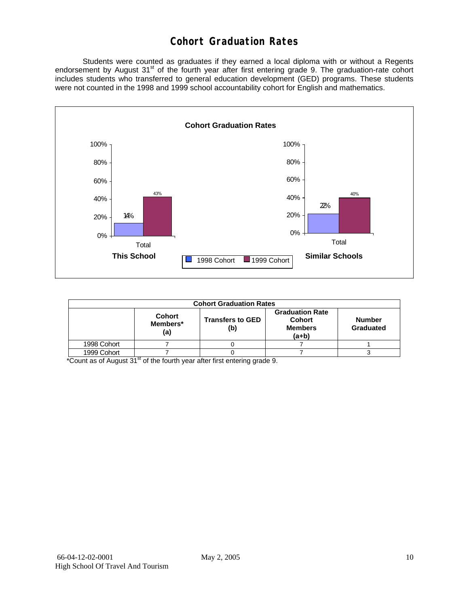### **Cohort Graduation Rates**

 Students were counted as graduates if they earned a local diploma with or without a Regents endorsement by August 31<sup>st</sup> of the fourth year after first entering grade 9. The graduation-rate cohort includes students who transferred to general education development (GED) programs. These students were not counted in the 1998 and 1999 school accountability cohort for English and mathematics.



|             | <b>Cohort Graduation Rates</b>   |                                |                                                                      |                            |  |  |  |  |  |
|-------------|----------------------------------|--------------------------------|----------------------------------------------------------------------|----------------------------|--|--|--|--|--|
|             | <b>Cohort</b><br>Members*<br>(a) | <b>Transfers to GED</b><br>(b) | <b>Graduation Rate</b><br><b>Cohort</b><br><b>Members</b><br>$(a+b)$ | <b>Number</b><br>Graduated |  |  |  |  |  |
| 1998 Cohort |                                  |                                |                                                                      |                            |  |  |  |  |  |
| 1999 Cohort |                                  |                                |                                                                      |                            |  |  |  |  |  |

 $*$ Count as of August  $31<sup>st</sup>$  of the fourth year after first entering grade 9.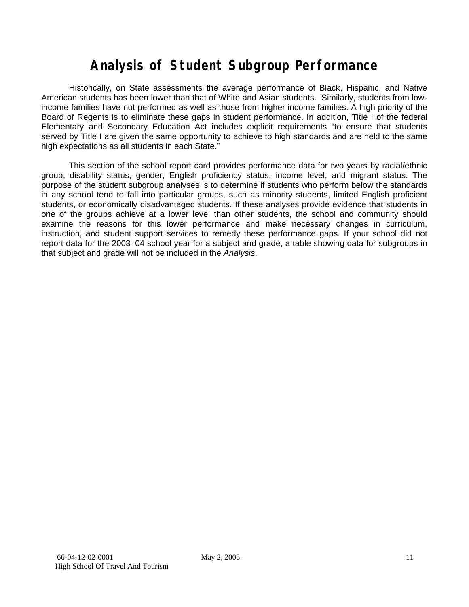# **Analysis of Student Subgroup Performance**

Historically, on State assessments the average performance of Black, Hispanic, and Native American students has been lower than that of White and Asian students. Similarly, students from lowincome families have not performed as well as those from higher income families. A high priority of the Board of Regents is to eliminate these gaps in student performance. In addition, Title I of the federal Elementary and Secondary Education Act includes explicit requirements "to ensure that students served by Title I are given the same opportunity to achieve to high standards and are held to the same high expectations as all students in each State."

This section of the school report card provides performance data for two years by racial/ethnic group, disability status, gender, English proficiency status, income level, and migrant status. The purpose of the student subgroup analyses is to determine if students who perform below the standards in any school tend to fall into particular groups, such as minority students, limited English proficient students, or economically disadvantaged students. If these analyses provide evidence that students in one of the groups achieve at a lower level than other students, the school and community should examine the reasons for this lower performance and make necessary changes in curriculum, instruction, and student support services to remedy these performance gaps. If your school did not report data for the 2003–04 school year for a subject and grade, a table showing data for subgroups in that subject and grade will not be included in the *Analysis*.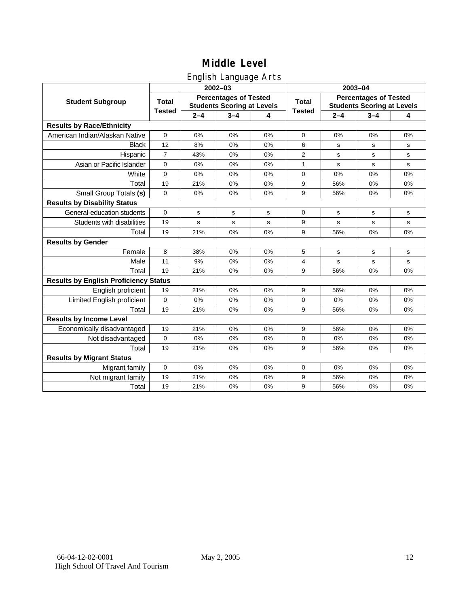### English Language Arts

|                                              | 2003-04        |         |                                                                   |    |               |         |                                                                   |           |
|----------------------------------------------|----------------|---------|-------------------------------------------------------------------|----|---------------|---------|-------------------------------------------------------------------|-----------|
|                                              |                |         | $2002 - 03$                                                       |    |               |         |                                                                   |           |
| <b>Student Subgroup</b>                      | <b>Total</b>   |         | <b>Percentages of Tested</b><br><b>Students Scoring at Levels</b> |    | Total         |         | <b>Percentages of Tested</b><br><b>Students Scoring at Levels</b> |           |
|                                              | <b>Tested</b>  | $2 - 4$ | $3 - 4$                                                           | 4  | <b>Tested</b> | $2 - 4$ | $3 - 4$                                                           | 4         |
| <b>Results by Race/Ethnicity</b>             |                |         |                                                                   |    |               |         |                                                                   |           |
| American Indian/Alaskan Native               | 0              | 0%      | 0%                                                                | 0% | 0             | 0%      | 0%                                                                | 0%        |
| <b>Black</b>                                 | 12             | 8%      | 0%                                                                | 0% | 6             | s       | s                                                                 | s         |
| Hispanic                                     | $\overline{7}$ | 43%     | 0%                                                                | 0% | 2             | s       | s                                                                 | ${\tt s}$ |
| Asian or Pacific Islander                    | 0              | 0%      | 0%                                                                | 0% | $\mathbf{1}$  | s       | s                                                                 | s         |
| White                                        | $\mathbf 0$    | 0%      | 0%                                                                | 0% | 0             | 0%      | 0%                                                                | 0%        |
| Total                                        | 19             | 21%     | 0%                                                                | 0% | 9             | 56%     | 0%                                                                | 0%        |
| Small Group Totals (s)                       | 0              | 0%      | 0%                                                                | 0% | 9             | 56%     | 0%                                                                | 0%        |
| <b>Results by Disability Status</b>          |                |         |                                                                   |    |               |         |                                                                   |           |
| General-education students                   | $\Omega$       | s       | s                                                                 | s  | 0             | s       | s                                                                 | s         |
| Students with disabilities                   | 19             | s       | s                                                                 | s  | 9             | s       | s                                                                 | s         |
| Total                                        | 19             | 21%     | 0%                                                                | 0% | 9             | 56%     | 0%                                                                | 0%        |
| <b>Results by Gender</b>                     |                |         |                                                                   |    |               |         |                                                                   |           |
| Female                                       | 8              | 38%     | 0%                                                                | 0% | 5             | s       | s                                                                 | s         |
| Male                                         | 11             | 9%      | 0%                                                                | 0% | 4             | s       | s                                                                 | s         |
| Total                                        | 19             | 21%     | 0%                                                                | 0% | 9             | 56%     | 0%                                                                | 0%        |
| <b>Results by English Proficiency Status</b> |                |         |                                                                   |    |               |         |                                                                   |           |
| English proficient                           | 19             | 21%     | 0%                                                                | 0% | 9             | 56%     | 0%                                                                | 0%        |
| Limited English proficient                   | 0              | 0%      | 0%                                                                | 0% | 0             | 0%      | 0%                                                                | 0%        |
| Total                                        | 19             | 21%     | 0%                                                                | 0% | 9             | 56%     | 0%                                                                | 0%        |
| <b>Results by Income Level</b>               |                |         |                                                                   |    |               |         |                                                                   |           |
| Economically disadvantaged                   | 19             | 21%     | 0%                                                                | 0% | 9             | 56%     | 0%                                                                | 0%        |
| Not disadvantaged                            | $\mathbf 0$    | 0%      | 0%                                                                | 0% | 0             | 0%      | 0%                                                                | 0%        |
| Total                                        | 19             | 21%     | 0%                                                                | 0% | 9             | 56%     | 0%                                                                | 0%        |
| <b>Results by Migrant Status</b>             |                |         |                                                                   |    |               |         |                                                                   |           |
| Migrant family                               | $\mathbf 0$    | 0%      | 0%                                                                | 0% | 0             | 0%      | 0%                                                                | 0%        |
| Not migrant family                           | 19             | 21%     | 0%                                                                | 0% | 9             | 56%     | 0%                                                                | 0%        |
| Total                                        | 19             | 21%     | 0%                                                                | 0% | 9             | 56%     | 0%                                                                | 0%        |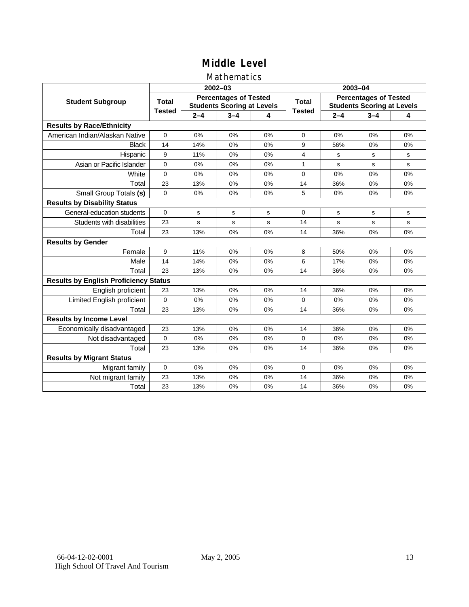### Mathematics

|                                              |               |         | $2002 - 03$                                                       |    | 2003-04       |                                                                   |         |              |
|----------------------------------------------|---------------|---------|-------------------------------------------------------------------|----|---------------|-------------------------------------------------------------------|---------|--------------|
| <b>Student Subgroup</b>                      | <b>Total</b>  |         | <b>Percentages of Tested</b><br><b>Students Scoring at Levels</b> |    | Total         | <b>Percentages of Tested</b><br><b>Students Scoring at Levels</b> |         |              |
|                                              | <b>Tested</b> | $2 - 4$ | $3 - 4$                                                           | 4  | <b>Tested</b> | $2 - 4$                                                           | $3 - 4$ | 4            |
| <b>Results by Race/Ethnicity</b>             |               |         |                                                                   |    |               |                                                                   |         |              |
| American Indian/Alaskan Native               | $\Omega$      | 0%      | 0%                                                                | 0% | $\Omega$      | 0%                                                                | 0%      | 0%           |
| <b>Black</b>                                 | 14            | 14%     | 0%                                                                | 0% | 9             | 56%                                                               | 0%      | 0%           |
| Hispanic                                     | 9             | 11%     | 0%                                                                | 0% | 4             | s                                                                 | s       | s            |
| Asian or Pacific Islander                    | $\mathbf 0$   | 0%      | 0%                                                                | 0% | $\mathbf{1}$  | s                                                                 | s       | s            |
| White                                        | $\mathbf 0$   | 0%      | 0%                                                                | 0% | 0             | 0%                                                                | 0%      | 0%           |
| Total                                        | 23            | 13%     | 0%                                                                | 0% | 14            | 36%                                                               | 0%      | 0%           |
| Small Group Totals (s)                       | $\Omega$      | 0%      | 0%                                                                | 0% | 5             | 0%                                                                | 0%      | 0%           |
| <b>Results by Disability Status</b>          |               |         |                                                                   |    |               |                                                                   |         |              |
| General-education students                   | $\Omega$      | s       | s                                                                 | S  | $\Omega$      | S                                                                 | s       | s            |
| Students with disabilities                   | 23            | s       | s                                                                 | s  | 14            | s                                                                 | s       | $\mathbf{s}$ |
| Total                                        | 23            | 13%     | 0%                                                                | 0% | 14            | 36%                                                               | 0%      | 0%           |
| <b>Results by Gender</b>                     |               |         |                                                                   |    |               |                                                                   |         |              |
| Female                                       | 9             | 11%     | 0%                                                                | 0% | 8             | 50%                                                               | 0%      | 0%           |
| Male                                         | 14            | 14%     | 0%                                                                | 0% | 6             | 17%                                                               | 0%      | 0%           |
| Total                                        | 23            | 13%     | 0%                                                                | 0% | 14            | 36%                                                               | 0%      | 0%           |
| <b>Results by English Proficiency Status</b> |               |         |                                                                   |    |               |                                                                   |         |              |
| English proficient                           | 23            | 13%     | 0%                                                                | 0% | 14            | 36%                                                               | 0%      | 0%           |
| Limited English proficient                   | $\mathbf 0$   | 0%      | 0%                                                                | 0% | 0             | 0%                                                                | 0%      | 0%           |
| Total                                        | 23            | 13%     | 0%                                                                | 0% | 14            | 36%                                                               | 0%      | 0%           |
| <b>Results by Income Level</b>               |               |         |                                                                   |    |               |                                                                   |         |              |
| Economically disadvantaged                   | 23            | 13%     | 0%                                                                | 0% | 14            | 36%                                                               | 0%      | 0%           |
| Not disadvantaged                            | $\Omega$      | 0%      | 0%                                                                | 0% | $\Omega$      | 0%                                                                | 0%      | 0%           |
| Total                                        | 23            | 13%     | 0%                                                                | 0% | 14            | 36%                                                               | 0%      | 0%           |
| <b>Results by Migrant Status</b>             |               |         |                                                                   |    |               |                                                                   |         |              |
| Migrant family                               | 0             | 0%      | 0%                                                                | 0% | 0             | 0%                                                                | 0%      | 0%           |
| Not migrant family                           | 23            | 13%     | 0%                                                                | 0% | 14            | 36%                                                               | 0%      | 0%           |
| Total                                        | 23            | 13%     | 0%                                                                | 0% | 14            | 36%                                                               | 0%      | 0%           |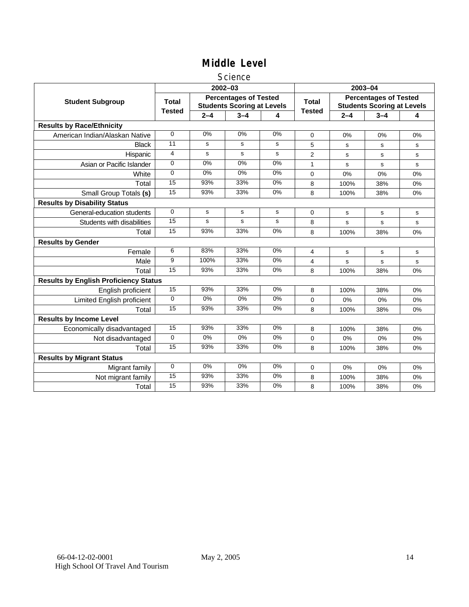#### **Science**

|                                              |                                                                                   |         | 2002-03 |       | 2003-04       |                                                                   |           |    |
|----------------------------------------------|-----------------------------------------------------------------------------------|---------|---------|-------|---------------|-------------------------------------------------------------------|-----------|----|
| <b>Student Subgroup</b>                      | <b>Percentages of Tested</b><br><b>Total</b><br><b>Students Scoring at Levels</b> |         |         |       | <b>Total</b>  | <b>Percentages of Tested</b><br><b>Students Scoring at Levels</b> |           |    |
|                                              | <b>Tested</b>                                                                     | $2 - 4$ | $3 - 4$ | 4     | <b>Tested</b> | $2 - 4$                                                           | $3 - 4$   | 4  |
| <b>Results by Race/Ethnicity</b>             |                                                                                   |         |         |       |               |                                                                   |           |    |
| American Indian/Alaskan Native               | $\mathbf 0$                                                                       | 0%      | 0%      | 0%    | $\mathbf 0$   | 0%                                                                | 0%        | 0% |
| <b>Black</b>                                 | 11                                                                                | s       | s       | s     | 5             | s                                                                 | s         | s  |
| Hispanic                                     | 4                                                                                 | s       | s       | s     | 2             | s                                                                 | s         | s  |
| Asian or Pacific Islander                    | $\Omega$                                                                          | 0%      | 0%      | $0\%$ | 1             | s                                                                 | s         | s  |
| White                                        | $\mathbf 0$                                                                       | 0%      | 0%      | 0%    | 0             | 0%                                                                | 0%        | 0% |
| Total                                        | 15                                                                                | 93%     | 33%     | 0%    | 8             | 100%                                                              | 38%       | 0% |
| Small Group Totals (s)                       | 15                                                                                | 93%     | 33%     | 0%    | 8             | 100%                                                              | 38%       | 0% |
| <b>Results by Disability Status</b>          |                                                                                   |         |         |       |               |                                                                   |           |    |
| General-education students                   | $\Omega$                                                                          | s       | s       | s     | $\Omega$      | s                                                                 | s         | s  |
| Students with disabilities                   | 15                                                                                | s       | s       | s     | 8             | s                                                                 | s         | s  |
| Total                                        | 15                                                                                | 93%     | 33%     | 0%    | 8             | 100%                                                              | 38%       | 0% |
| <b>Results by Gender</b>                     |                                                                                   |         |         |       |               |                                                                   |           |    |
| Female                                       | 6                                                                                 | 83%     | 33%     | 0%    | 4             | $\mathbf s$                                                       | ${\tt s}$ | s  |
| Male                                         | 9                                                                                 | 100%    | 33%     | 0%    | 4             | s                                                                 | s         | s  |
| Total                                        | 15                                                                                | 93%     | 33%     | 0%    | 8             | 100%                                                              | 38%       | 0% |
| <b>Results by English Proficiency Status</b> |                                                                                   |         |         |       |               |                                                                   |           |    |
| English proficient                           | 15                                                                                | 93%     | 33%     | 0%    | 8             | 100%                                                              | 38%       | 0% |
| Limited English proficient                   | $\Omega$                                                                          | 0%      | 0%      | 0%    | 0             | 0%                                                                | 0%        | 0% |
| Total                                        | 15                                                                                | 93%     | 33%     | 0%    | 8             | 100%                                                              | 38%       | 0% |
| <b>Results by Income Level</b>               |                                                                                   |         |         |       |               |                                                                   |           |    |
| Economically disadvantaged                   | 15                                                                                | 93%     | 33%     | 0%    | 8             | 100%                                                              | 38%       | 0% |
| Not disadvantaged                            | 0                                                                                 | 0%      | 0%      | 0%    | 0             | $0\%$                                                             | 0%        | 0% |
| Total                                        | 15                                                                                | 93%     | 33%     | 0%    | 8             | 100%                                                              | 38%       | 0% |
| <b>Results by Migrant Status</b>             |                                                                                   |         |         |       |               |                                                                   |           |    |
| Migrant family                               | 0                                                                                 | 0%      | 0%      | 0%    | 0             | 0%                                                                | 0%        | 0% |
| Not migrant family                           | 15                                                                                | 93%     | 33%     | $0\%$ | 8             | 100%                                                              | 38%       | 0% |
| Total                                        | 15                                                                                | 93%     | 33%     | 0%    | 8             | 100%                                                              | 38%       | 0% |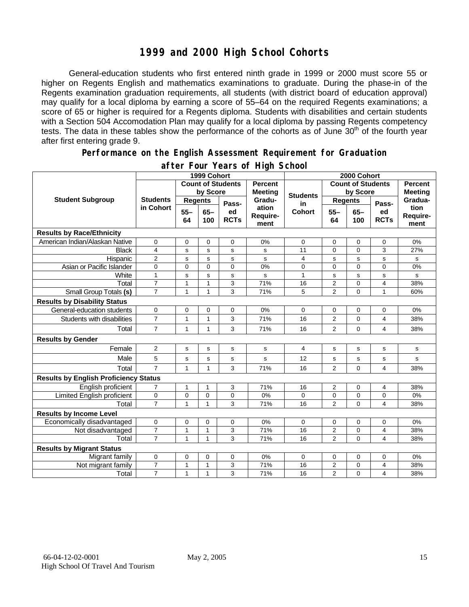### **1999 and 2000 High School Cohorts**

General-education students who first entered ninth grade in 1999 or 2000 must score 55 or higher on Regents English and mathematics examinations to graduate. During the phase-in of the Regents examination graduation requirements, all students (with district board of education approval) may qualify for a local diploma by earning a score of 55–64 on the required Regents examinations; a score of 65 or higher is required for a Regents diploma. Students with disabilities and certain students with a Section 504 Accomodation Plan may qualify for a local diploma by passing Regents competency tests. The data in these tables show the performance of the cohorts as of June 30<sup>th</sup> of the fourth year after first entering grade 9.

#### **Performance on the English Assessment Requirement for Graduation**

|                                              |                         |                | 1999 Cohort   |                          |                           |                 | 2000 Cohort              |                |                   |                                  |
|----------------------------------------------|-------------------------|----------------|---------------|--------------------------|---------------------------|-----------------|--------------------------|----------------|-------------------|----------------------------------|
|                                              |                         |                |               | <b>Count of Students</b> | <b>Percent</b>            |                 | <b>Count of Students</b> |                |                   | <b>Percent</b><br><b>Meeting</b> |
|                                              |                         |                | by Score      |                          | <b>Meeting</b>            | <b>Students</b> | by Score                 |                |                   |                                  |
| <b>Student Subgroup</b>                      | <b>Students</b>         | <b>Regents</b> |               | Pass-                    | Gradu-                    | in              | <b>Regents</b>           |                | Pass-             | Gradua-                          |
|                                              | in Cohort               | $55 -$<br>64   | $65 -$<br>100 | ed<br><b>RCTs</b>        | ation<br>Require-<br>ment | <b>Cohort</b>   | $55 -$<br>64             | $65 -$<br>100  | ed<br><b>RCTs</b> | tion<br>Require-<br>ment         |
| <b>Results by Race/Ethnicity</b>             |                         |                |               |                          |                           |                 |                          |                |                   |                                  |
| American Indian/Alaskan Native               | $\mathbf 0$             | 0              | 0             | $\mathbf 0$              | 0%                        | $\mathbf 0$     | $\mathbf 0$              | 0              | $\mathbf 0$       | 0%                               |
| <b>Black</b>                                 | 4                       | s              | $\mathbf s$   | s                        | s                         | 11              | $\overline{0}$           | $\overline{0}$ | 3                 | 27%                              |
| Hispanic                                     | $\overline{2}$          | s              | s             | s                        | s                         | 4               | s                        | s              | s                 | s                                |
| Asian or Pacific Islander                    | $\mathbf 0$             | 0              | 0             | 0                        | 0%                        | 0               | $\mathbf 0$              | 0              | $\Omega$          | 0%                               |
| White                                        | $\mathbf{1}$            | s              | ${\tt s}$     | s                        | s                         | $\mathbf{1}$    | $\mathbf s$              | $\mathbf s$    | s                 | ${\tt s}$                        |
| Total                                        | $\overline{7}$          | 1              | $\mathbf{1}$  | 3                        | 71%                       | 16              | $\overline{c}$           | 0              | 4                 | 38%                              |
| Small Group Totals (s)                       | $\overline{7}$          | 1              | $\mathbf{1}$  | 3                        | 71%                       | 5               | $\overline{2}$           | $\overline{0}$ | $\mathbf{1}$      | 60%                              |
| <b>Results by Disability Status</b>          |                         |                |               |                          |                           |                 |                          |                |                   |                                  |
| General-education students                   | 0                       | 0              | 0             | 0                        | 0%                        | 0               | 0                        | 0              | 0                 | 0%                               |
| Students with disabilities                   | $\overline{7}$          | 1              | $\mathbf{1}$  | 3                        | 71%                       | 16              | $\overline{2}$           | $\Omega$       | 4                 | 38%                              |
| Total                                        | 7                       | 1              | $\mathbf{1}$  | 3                        | 71%                       | 16              | $\overline{2}$           | 0              | 4                 | 38%                              |
| <b>Results by Gender</b>                     |                         |                |               |                          |                           |                 |                          |                |                   |                                  |
| Female                                       | 2                       | s              | s             | s                        | s                         | 4               | s                        | s              | s                 | s                                |
| Male                                         | 5                       | s              | $\mathbf s$   | s                        | s                         | 12              | $\mathbf s$              | s              | s                 | s                                |
| Total                                        | $\overline{7}$          | $\mathbf{1}$   | $\mathbf{1}$  | 3                        | 71%                       | 16              | $\overline{2}$           | $\overline{0}$ | 4                 | 38%                              |
| <b>Results by English Proficiency Status</b> |                         |                |               |                          |                           |                 |                          |                |                   |                                  |
| English proficient                           | $\overline{7}$          | 1              | $\mathbf{1}$  | 3                        | 71%                       | 16              | 2                        | 0              | 4                 | 38%                              |
| Limited English proficient                   | 0                       | 0              | 0             | 0                        | 0%                        | 0               | 0                        | 0              | 0                 | 0%                               |
| Total                                        | $\overline{7}$          | $\mathbf{1}$   | $\mathbf{1}$  | 3                        | 71%                       | 16              | $\overline{2}$           | $\Omega$       | 4                 | 38%                              |
| <b>Results by Income Level</b>               |                         |                |               |                          |                           |                 |                          |                |                   |                                  |
| Economically disadvantaged                   | 0                       | 0              | 0             | $\mathbf 0$              | 0%                        | 0               | $\mathbf 0$              | 0              | 0                 | 0%                               |
| Not disadvantaged                            | $\overline{\mathbf{7}}$ | 1              | $\mathbf{1}$  | 3                        | 71%                       | 16              | $\overline{c}$           | 0              | 4                 | 38%                              |
| Total                                        | $\overline{7}$          | 1              | $\mathbf{1}$  | 3                        | 71%                       | 16              | $\overline{2}$           | $\Omega$       | 4                 | 38%                              |
| <b>Results by Migrant Status</b>             |                         |                |               |                          |                           |                 |                          |                |                   |                                  |
| Migrant family                               | 0                       | 0              | 0             | $\mathbf 0$              | 0%                        | 0               | 0                        | 0              | 0                 | 0%                               |
| Not migrant family                           | $\overline{7}$          | 1              | $\mathbf{1}$  | 3                        | 71%                       | 16              | $\overline{2}$           | 0              | 4                 | 38%                              |
| Total                                        | $\overline{7}$          | 1              | $\mathbf{1}$  | 3                        | 71%                       | 16              | $\overline{2}$           | 0              | 4                 | 38%                              |

#### **after Four Years of High School**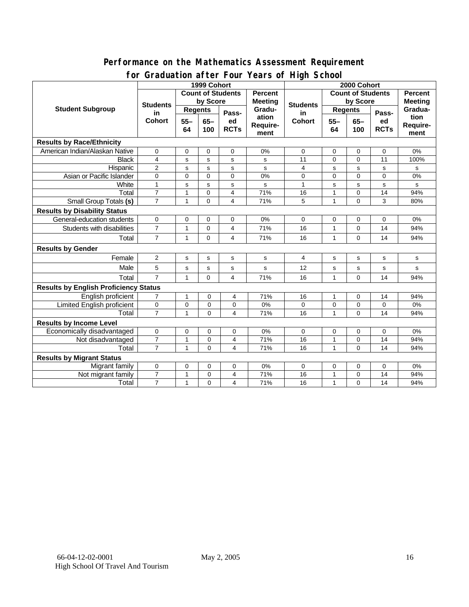#### **Performance on the Mathematics Assessment Requirement for Graduation after Four Years of High School**

|                                              | $30$ addition anton road roads on ringin concord<br>1999 Cohort |                          |             |                |                 | 2000 Cohort                            |                          |             |             |                                  |
|----------------------------------------------|-----------------------------------------------------------------|--------------------------|-------------|----------------|-----------------|----------------------------------------|--------------------------|-------------|-------------|----------------------------------|
| <b>Student Subgroup</b>                      |                                                                 | <b>Count of Students</b> |             |                | Percent         |                                        | <b>Count of Students</b> |             |             | <b>Percent</b><br><b>Meeting</b> |
|                                              | <b>Students</b><br>in<br><b>Cohort</b>                          | by Score                 |             |                | <b>Meeting</b>  |                                        | by Score                 |             |             |                                  |
|                                              |                                                                 | <b>Regents</b>           |             |                | Gradu-<br>ation | <b>Students</b><br>in<br><b>Cohort</b> | <b>Regents</b>           |             |             | Gradua-                          |
|                                              |                                                                 | $55 -$<br>$65-$          | Pass-<br>ed | $55 -$         |                 |                                        | $65-$                    | Pass-<br>ed | tion        |                                  |
|                                              |                                                                 | 64                       | 100         | <b>RCTs</b>    | Require-        |                                        | 64                       | 100         | <b>RCTs</b> | Require-                         |
|                                              |                                                                 |                          |             |                | ment            |                                        |                          |             |             | ment                             |
| <b>Results by Race/Ethnicity</b>             |                                                                 |                          |             |                |                 |                                        |                          |             |             |                                  |
| American Indian/Alaskan Native               | $\mathbf 0$                                                     | 0                        | 0           | 0              | 0%              | 0                                      | 0                        | 0           | 0           | 0%                               |
| <b>Black</b>                                 | $\overline{4}$                                                  | s                        | s           | s              | s               | 11                                     | $\Omega$                 | $\Omega$    | 11          | 100%                             |
| Hispanic                                     | $\overline{2}$                                                  | s                        | s           | s              | s               | 4                                      | s                        | $\mathbf s$ | s           | s                                |
| Asian or Pacific Islander                    | $\overline{0}$                                                  | $\mathbf 0$              | $\mathbf 0$ | $\Omega$       | 0%              | 0                                      | $\mathbf 0$              | $\mathbf 0$ | 0           | 0%                               |
| White                                        | $\mathbf{1}$                                                    | s                        | s           | s              | s               | 1                                      | s                        | s           | s           | s                                |
| Total                                        | $\overline{7}$                                                  | 1                        | $\mathbf 0$ | 4              | 71%             | 16                                     | $\mathbf{1}$             | $\mathbf 0$ | 14          | 94%                              |
| <b>Small Group Totals (s)</b>                | $\overline{7}$                                                  | 1                        | $\Omega$    | 4              | 71%             | 5                                      | 1                        | $\Omega$    | 3           | 80%                              |
| <b>Results by Disability Status</b>          |                                                                 |                          |             |                |                 |                                        |                          |             |             |                                  |
| General-education students                   | 0                                                               | $\mathbf 0$              | $\mathbf 0$ | 0              | 0%              | 0                                      | 0                        | 0           | 0           | 0%                               |
| Students with disabilities                   | $\overline{7}$                                                  | 1                        | $\mathbf 0$ | $\overline{4}$ | 71%             | 16                                     | 1                        | 0           | 14          | 94%                              |
| Total                                        | $\overline{7}$                                                  | $\mathbf{1}$             | $\Omega$    | 4              | 71%             | 16                                     | $\mathbf{1}$             | $\mathbf 0$ | 14          | 94%                              |
| <b>Results by Gender</b>                     |                                                                 |                          |             |                |                 |                                        |                          |             |             |                                  |
| Female                                       | $\overline{2}$                                                  | s                        | s           | s              | s               | 4                                      | $\mathbf s$              | s           | s           | s                                |
| Male                                         | 5                                                               | s                        | s           | $\mathbf{s}$   | s               | 12                                     | s                        | s           | s           | s                                |
| Total                                        | $\overline{7}$                                                  | 1                        | $\Omega$    | $\overline{4}$ | 71%             | 16                                     | $\mathbf{1}$             | $\mathbf 0$ | 14          | 94%                              |
| <b>Results by English Proficiency Status</b> |                                                                 |                          |             |                |                 |                                        |                          |             |             |                                  |
| English proficient                           | $\overline{7}$                                                  | 1                        | 0           | 4              | 71%             | 16                                     | 1                        | 0           | 14          | 94%                              |
| Limited English proficient                   | 0                                                               | $\mathbf 0$              | 0           | 0              | 0%              | 0                                      | $\mathbf 0$              | $\mathbf 0$ | $\mathbf 0$ | 0%                               |
| Total                                        | $\overline{7}$                                                  | 1                        | $\Omega$    | 4              | 71%             | 16                                     | 1                        | $\Omega$    | 14          | 94%                              |
| <b>Results by Income Level</b>               |                                                                 |                          |             |                |                 |                                        |                          |             |             |                                  |
| Economically disadvantaged                   | 0                                                               | 0                        | 0           | 0              | 0%              | 0                                      | 0                        | 0           | 0           | 0%                               |
| Not disadvantaged                            | $\overline{7}$                                                  | 1                        | 0           | 4              | 71%             | 16                                     | 1                        | 0           | 14          | 94%                              |
| Total                                        | $\overline{7}$                                                  | 1                        | $\Omega$    | 4              | 71%             | 16                                     | $\mathbf{1}$             | $\Omega$    | 14          | 94%                              |
| <b>Results by Migrant Status</b>             |                                                                 |                          |             |                |                 |                                        |                          |             |             |                                  |
| Migrant family                               | $\mathbf 0$                                                     | 0                        | 0           | 0              | 0%              | 0                                      | 0                        | 0           | 0           | 0%                               |
| Not migrant family                           | $\overline{7}$                                                  | 1                        | 0           | 4              | 71%             | 16                                     | 1                        | 0           | 14          | 94%                              |
| Total                                        | $\overline{7}$                                                  | 1                        | $\mathbf 0$ | 4              | 71%             | 16                                     | 1                        | 0           | 14          | 94%                              |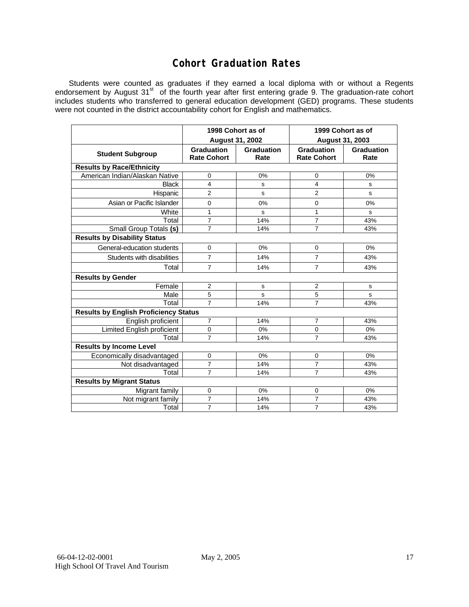### **Cohort Graduation Rates**

Students were counted as graduates if they earned a local diploma with or without a Regents endorsement by August 31<sup>st</sup> of the fourth year after first entering grade 9. The graduation-rate cohort includes students who transferred to general education development (GED) programs. These students were not counted in the district accountability cohort for English and mathematics.

|                                              | 1998 Cohort as of<br><b>August 31, 2002</b> |                    | 1999 Cohort as of<br>August 31, 2003    |                    |  |  |  |  |  |
|----------------------------------------------|---------------------------------------------|--------------------|-----------------------------------------|--------------------|--|--|--|--|--|
| <b>Student Subgroup</b>                      | <b>Graduation</b><br><b>Rate Cohort</b>     | Graduation<br>Rate | <b>Graduation</b><br><b>Rate Cohort</b> | Graduation<br>Rate |  |  |  |  |  |
| <b>Results by Race/Ethnicity</b>             |                                             |                    |                                         |                    |  |  |  |  |  |
| American Indian/Alaskan Native               | 0                                           | 0%                 | 0                                       | 0%                 |  |  |  |  |  |
| <b>Black</b>                                 | 4                                           | s                  | 4                                       | S                  |  |  |  |  |  |
| Hispanic                                     | $\overline{2}$                              | s                  | $\overline{2}$                          | s                  |  |  |  |  |  |
| Asian or Pacific Islander                    | 0                                           | 0%                 | 0                                       | 0%                 |  |  |  |  |  |
| White                                        | 1                                           | s                  | 1                                       | s                  |  |  |  |  |  |
| Total                                        | $\overline{7}$                              | 14%                | $\overline{7}$                          | 43%                |  |  |  |  |  |
| Small Group Totals (s)                       | $\overline{7}$                              | 14%                | 7                                       | 43%                |  |  |  |  |  |
| <b>Results by Disability Status</b>          |                                             |                    |                                         |                    |  |  |  |  |  |
| General-education students                   | $\mathbf 0$                                 | 0%                 | $\mathbf 0$                             | 0%                 |  |  |  |  |  |
| Students with disabilities                   | $\overline{7}$                              | 14%                | $\overline{7}$                          | 43%                |  |  |  |  |  |
| Total                                        | $\overline{7}$                              | 14%                | $\overline{7}$                          | 43%                |  |  |  |  |  |
| <b>Results by Gender</b>                     |                                             |                    |                                         |                    |  |  |  |  |  |
| Female                                       | $\overline{2}$                              | $\mathbf s$        | 2                                       | s                  |  |  |  |  |  |
| Male                                         | 5                                           | s                  | 5                                       | S                  |  |  |  |  |  |
| Total                                        | $\overline{7}$                              | 14%                | $\overline{7}$                          | 43%                |  |  |  |  |  |
| <b>Results by English Proficiency Status</b> |                                             |                    |                                         |                    |  |  |  |  |  |
| English proficient                           | 7                                           | 14%                | 7                                       | 43%                |  |  |  |  |  |
| Limited English proficient                   | 0                                           | 0%                 | 0                                       | 0%                 |  |  |  |  |  |
| Total                                        | $\overline{7}$                              | 14%                | $\overline{7}$                          | 43%                |  |  |  |  |  |
| <b>Results by Income Level</b>               |                                             |                    |                                         |                    |  |  |  |  |  |
| Economically disadvantaged                   | $\mathbf 0$                                 | 0%                 | 0                                       | $0\%$              |  |  |  |  |  |
| Not disadvantaged                            | $\overline{7}$                              | 14%                | $\overline{7}$                          | 43%                |  |  |  |  |  |
| Total                                        | $\overline{7}$                              | 14%                | $\overline{7}$                          | 43%                |  |  |  |  |  |
| <b>Results by Migrant Status</b>             |                                             |                    |                                         |                    |  |  |  |  |  |
| Migrant family                               | 0                                           | 0%                 | 0                                       | $0\%$              |  |  |  |  |  |
| Not migrant family                           | $\overline{7}$                              | 14%                | $\overline{7}$                          | 43%                |  |  |  |  |  |
| Total                                        | $\overline{7}$                              | 14%                | 7                                       | 43%                |  |  |  |  |  |